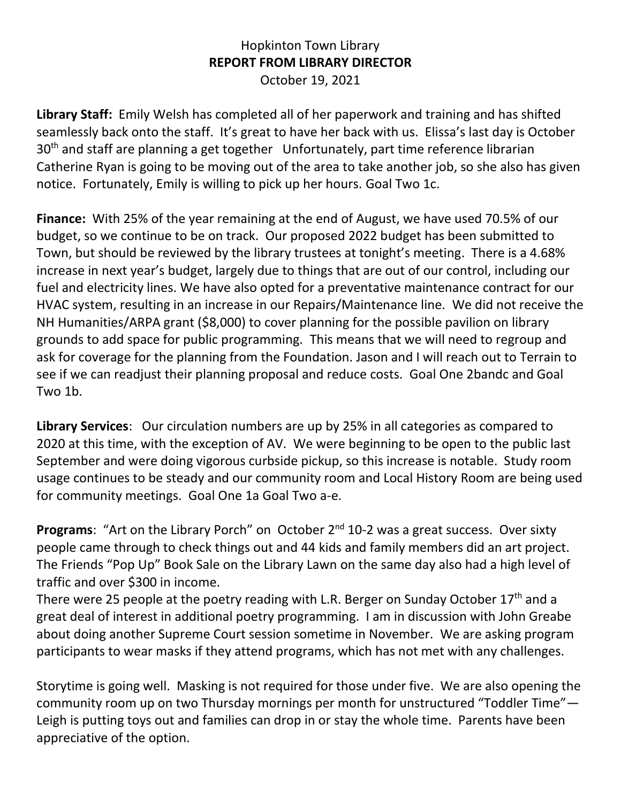## Hopkinton Town Library **REPORT FROM LIBRARY DIRECTOR** October 19, 2021

**Library Staff:** Emily Welsh has completed all of her paperwork and training and has shifted seamlessly back onto the staff. It's great to have her back with us. Elissa's last day is October 30<sup>th</sup> and staff are planning a get together Unfortunately, part time reference librarian Catherine Ryan is going to be moving out of the area to take another job, so she also has given notice. Fortunately, Emily is willing to pick up her hours. Goal Two 1c.

**Finance:** With 25% of the year remaining at the end of August, we have used 70.5% of our budget, so we continue to be on track. Our proposed 2022 budget has been submitted to Town, but should be reviewed by the library trustees at tonight's meeting. There is a 4.68% increase in next year's budget, largely due to things that are out of our control, including our fuel and electricity lines. We have also opted for a preventative maintenance contract for our HVAC system, resulting in an increase in our Repairs/Maintenance line. We did not receive the NH Humanities/ARPA grant (\$8,000) to cover planning for the possible pavilion on library grounds to add space for public programming. This means that we will need to regroup and ask for coverage for the planning from the Foundation. Jason and I will reach out to Terrain to see if we can readjust their planning proposal and reduce costs. Goal One 2bandc and Goal Two 1b.

**Library Services**: Our circulation numbers are up by 25% in all categories as compared to 2020 at this time, with the exception of AV. We were beginning to be open to the public last September and were doing vigorous curbside pickup, so this increase is notable. Study room usage continues to be steady and our community room and Local History Room are being used for community meetings. Goal One 1a Goal Two a-e.

**Programs:** "Art on the Library Porch" on October 2<sup>nd</sup> 10-2 was a great success. Over sixty people came through to check things out and 44 kids and family members did an art project. The Friends "Pop Up" Book Sale on the Library Lawn on the same day also had a high level of traffic and over \$300 in income.

There were 25 people at the poetry reading with L.R. Berger on Sunday October 17<sup>th</sup> and a great deal of interest in additional poetry programming. I am in discussion with John Greabe about doing another Supreme Court session sometime in November. We are asking program participants to wear masks if they attend programs, which has not met with any challenges.

Storytime is going well. Masking is not required for those under five. We are also opening the community room up on two Thursday mornings per month for unstructured "Toddler Time"— Leigh is putting toys out and families can drop in or stay the whole time. Parents have been appreciative of the option.